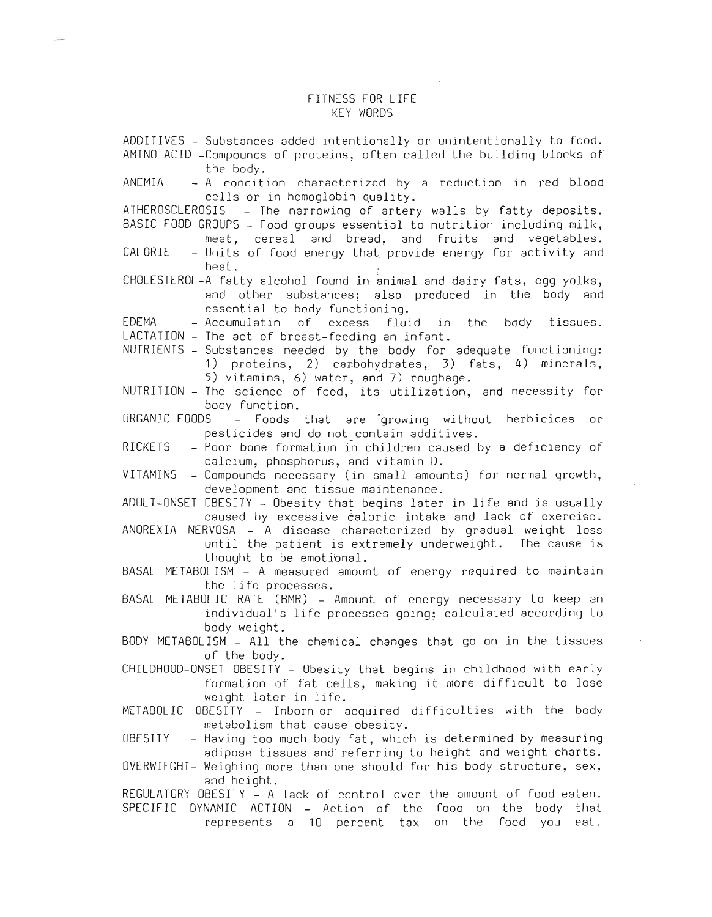## FITNESS FOR LIFE KEY WORDS

| ADDITIVES - Substances added intentionally or unintentionally to food.<br>AMINO ACID - Compounds of proteins, often called the building blocks of<br>the body.                                                                       |
|--------------------------------------------------------------------------------------------------------------------------------------------------------------------------------------------------------------------------------------|
| ANEMIA<br>- A condition characterized by a reduction in red blood<br>cells or in hemoglobin quality.                                                                                                                                 |
| ATHEROSCLEROSIS - The narrowing of artery walls by fatty deposits.<br>BASIC FOOD GROUPS - Food groups essential to nutrition including milk,<br>meat, cereal and bread, and fruits and vegetables.                                   |
| CALORIE<br>- Units of food energy that provide energy for activity and<br>heat.                                                                                                                                                      |
| CHOLESTEROL-A fatty alcohol found in animal and dairy fats, egg yolks,<br>and other substances; also produced in the body and<br>essential to body functioning.                                                                      |
| EDEMA<br>- Accumulatin of excess fluid in the body tissues.<br>LACTATION - The act of breast-feeding an infant.                                                                                                                      |
| NUTRIENTS - Substances needed by the body for adequate functioning:<br>1) proteins, 2) carbohydrates, 3) fats, 4) minerals,<br>5) vitamins, 6) water, and 7) roughage.                                                               |
| NUTRITION - The science of food, its utilization, and necessity for<br>body function.                                                                                                                                                |
| ORGANIC FOODS - Foods that are growing without herbicides<br>or<br>pesticides and do not contain additives.                                                                                                                          |
| RICKETS<br>- Poor bone formation in children caused by a deficiency of<br>calcium, phosphorus, and vitamin D.                                                                                                                        |
| - Compounds necessary (in small amounts) for normal growth,<br>VITAMINS<br>development and tissue maintenance.                                                                                                                       |
| ADULI-ONSET OBESITY - Obesity that begins later in life and is usually<br>caused by excessive caloric intake and lack of exercise.                                                                                                   |
| ANOREXIA NERVOSA - A disease characterized by gradual weight loss<br>until the patient is extremely underweight. The cause is<br>thought to be emotional.                                                                            |
| BASAL METABOLISM - A measured amount of energy required to maintain<br>the life processes.                                                                                                                                           |
| BASAL METABOLIC RATE (BMR) - Amount of energy necessary to keep an<br>individual's life processes going; calculated according to<br>body weight.                                                                                     |
| BODY METABOLISM - All the chemical changes that go on in the tissues<br>of the body.                                                                                                                                                 |
| CHILDHOOD-ONSET OBESITY - Obesity that begins in childhood with early<br>formation of fat cells, making it more difficult to lose<br>weight later in life.                                                                           |
| OBESITY - Inborn or acquired difficulties with the body<br>METABOLIC<br>metabolism that cause obesity.                                                                                                                               |
| - Having too much body fat, which is determined by measuring<br>OBESITY<br>adipose tissues and referring to height and weight charts.<br>OVERWIEGHT- Weighing more than one should for his body structure, sex,                      |
| and height.<br>REGULATORY OBESITY - A lack of control over the amount of food eaten.<br>SPECIFIC<br>DYNAMIC ACTION - Action of the food on<br>the<br>body<br>that<br>represents a 10 percent<br>tax<br>on the<br>food<br>you<br>eat. |

 $\mathcal{A}$ 

 $\sim$